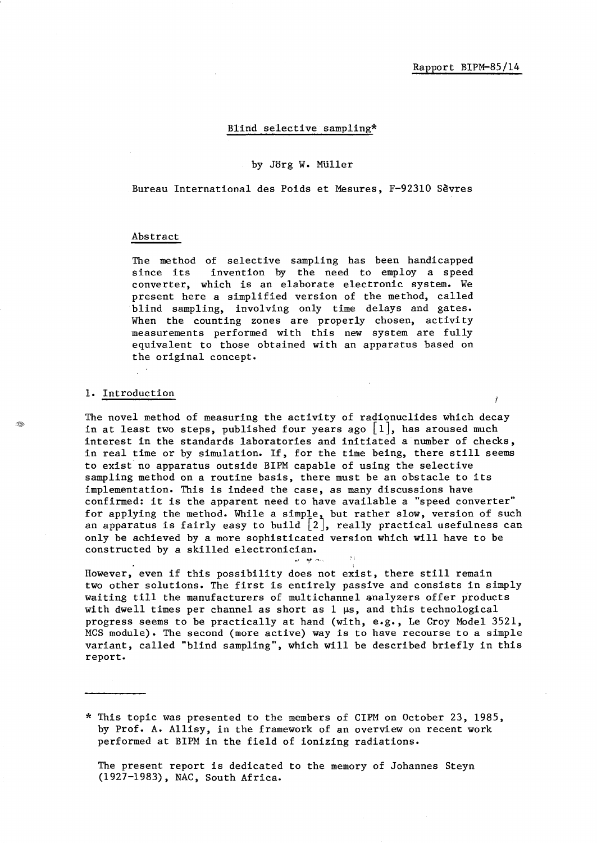## Blind selective sampling\*

#### by Jorg W. MUller

Bureau International des Poids et Mesures, F-92310 Sevres

#### Abstract

The method of selective sampling has been handicapped since its invention by the need to employ a speed converter, which is an elaborate electronic system. We present here a simplified version of the method, called blind sampling, involving only time delays and gates. When the counting zones are properly chosen, activity measurements performed with this new system are fully equivalent to those obtained with an apparatus based on the original concept.

#### 1. Introduction

Î.

The novel method of measuring the activity of radionuclides which decay in at least two steps, published four years ago  $|1|$ , has aroused much interest in the standards laboratories and initiated a number of checks, in real time or by simulation. If, for the time being, there still seems to exist no apparatus outside BIPM capable of using the selective sampling method on a routine basis, there must be an obstacle to its implementation. This is indeed the case, as many discussions have confirmed: it is the apparent need to have available a "speed converter" for applying the method. While a simple, but rather slow, version of such an apparatus is fairly easy to build  $|2|$ , really practical usefulness can only be achieved by a more sophisticated version which will have to be constructed by a skilled electronician.

However, even if this possibility does not exist, there still remain two other solutions. The first is entirely passive and consists in simply waiting till the manufacturers of multichannel analyzers offer products with dwell times per channel as short as  $1 \mu s$ , and this technological progress seems to be practically at hand (with, e.g., Le Croy Model 3521, MCS module). The second (more active) way is to have recourse to a simple variant, called "blind sampling", which will be described briefly in this report.

\* This topic was presented to the members of CIPM on October 23, 1985, by Prof. A. Allisy, in the framework of an overview on recent work performed at BIPM in the field of ionizing radiations.

The present report is dedicated to the memory of Johannes Steyn (1927-1983), NAC, South Africa.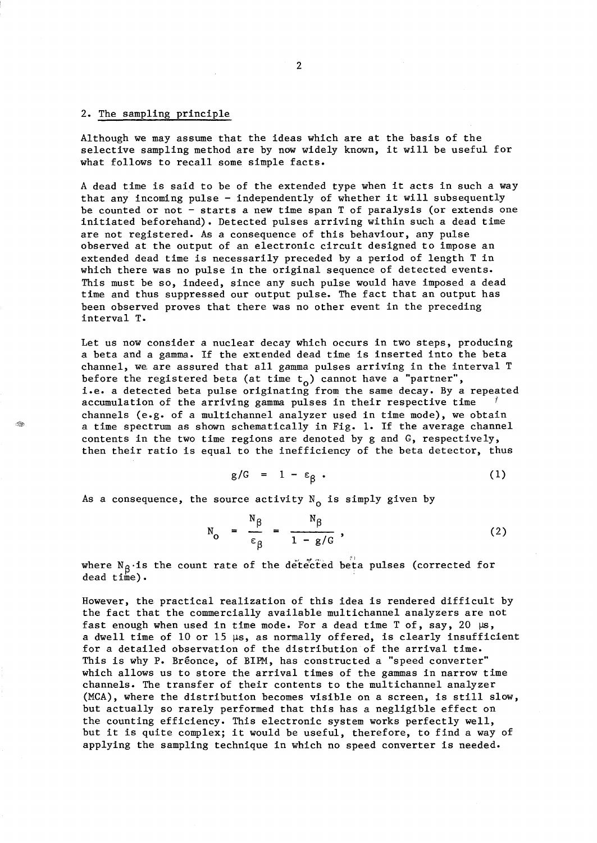### 2. The sampling principle

Although we may assume that the ideas which are at the basis of the selective sampling method are by now widely known, it will be useful for what follows to recall some simple facts.

A dead time is said to be of the extended type when it acts in such a way that any incoming pulse - independently of whether it will subsequently be counted or not - starts a new time span T of paralysis (or extends one initiated beforehand). Detected pulses arriving within such a dead time are not registered. As a consequence of this behaviour, any pulse observed at the output of an electronic circuit designed to impose an extended dead time is necessarily preceded by a period of length T in which there was no pulse in the original sequence of detected events. This must be so, indeed, since any such pulse would have imposed a dead time and thus suppressed our output pulse. The fact that an output has been observed proves that there was no other event in the preceding interval T.

Let us now consider a nuclear decay which occurs in two steps, producing a beta and a gamma. If the extended dead time is inserted into the beta channel, we, are assured that all gamma pulses arriving in the interval T before the registered beta (at time  $t_o$ ) cannot have a "partner", i.e. a detected beta pulse originating from the same decay. By a repeated accumulation of the arriving gamma pulses in their respective time channels (e.g. of a multichannel analyzer used in time mode), we obtain a time spectrum as shown schematically in Fig. 1. If the average channel contents in the two time regions are denoted by g and G, respectively, then their ratio is equal to the inefficiency of the beta detector, thus

$$
g/G = 1 - \varepsilon_{\beta} \tag{1}
$$

As a consequence, the source activity  $N_0$  is simply given by

$$
N_o = \frac{N_{\beta}}{\epsilon_{\beta}} = \frac{N_{\beta}}{1 - g/G},
$$
 (2)

where  $N_{\beta}$  is the count rate of the detected beta pulses (corrected for dead time).

However, the practical realization of this idea is rendered difficult by the fact that the commercially available multichannel analyzers are not fast enough when used in time mode. For a dead time T of, say, 20  $\mu s$ , a dwell time of 10 or 15  $\mu s$ , as normally offered, is clearly insufficient for a detailed observation of the distribution of the arrival time. This is why P. Bréonce, of BIPM, has constructed a "speed converter" which allows us to store the arrival times of the gammas in narrow time channels. The transfer of their contents to the multichannel analyzer (MCA), where the distribution becomes visible on a screen, is still slow, but actually so rarely performed that this has a negligible effect on the counting efficiency. This electronic system works perfectly well, but it is quite complex; it would be useful, therefore, to find a way of applying the sampling technique in which no speed converter is needed.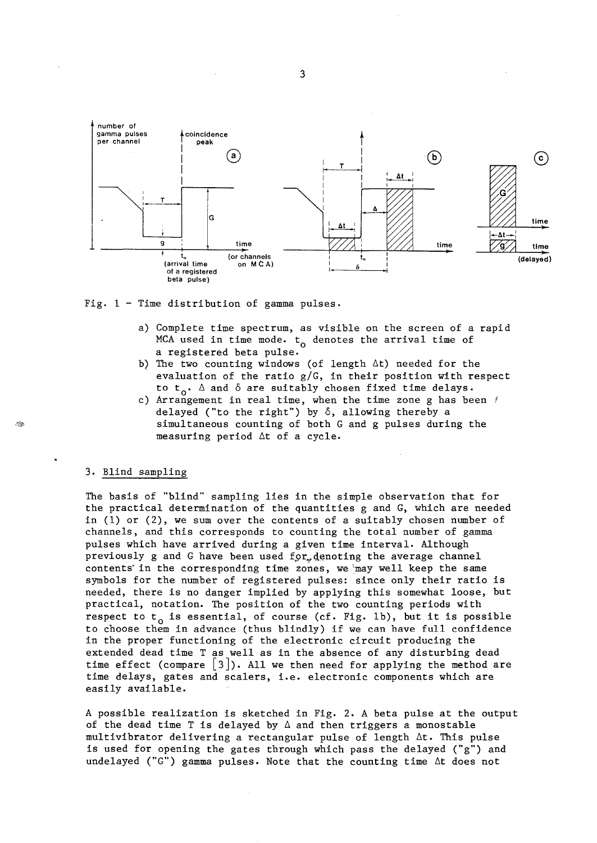

Fig. 1 - Time distribution of gamma pulses.

- a) Complete time spectrum, as visible on the screen of a rapid MCA used in time mode.  $t_0$  denotes the arrival time of a registered beta pulse.
- b) The two counting windows (of length  $\Delta t$ ) needed for the evaluation of the ratio g/G, in their position with respect to  $t_0$ .  $\Delta$  and  $\delta$  are suitably chosen fixed time delays.
- c) Arrangement in real time, when the time zone g has been  $\ell$ delayed ("to the right") by  $\delta$ , allowing thereby a simultaneous counting of both G and g pulses during the measuring period  $\Delta t$  of a cycle.

# 3. Blind sampling

The basis of "blind" sampling lies in the simple observation that for the practical determination of the quantities g and G, which are needed in (1) or (2), we sum over the contents of a suitably chosen number of channels, and this corresponds to counting the total number of gamma pulses which have arrived during a given time interval. Although previously g and G have been used for denoting the average channel contents' in the corresponding time zones, we 'may well keep the same symbols for the number of registered pulses: since only their ratio is needed, there is no danger implied by applying this somewhat loose, but practical, notation. The position of the two counting periods with respect to  $t_0$  is essential, of course (cf. Fig. 1b), but it is possible to choose them in advance (thus blindly) if we can have full confidence in the proper functioning of the electronic circuit producing the extended dead time T as well as in the absence of any disturbing dead time effect (compare  $\lceil 3 \rceil$ ). All we then need for applying the method are time delays, gates and scalers, i.e. electronic components which are easily available.

A possible realization is sketched in Fig. 2. A beta pulse at the output of the dead time T is delayed by  $\Delta$  and then triggers a monostable multivibrator delivering a rectangular pulse of length 6t. This pulse is used for opening the gates through which pass the delayed ("g") and undelayed ("G") gamma pulses. Note that the counting time  $\Delta t$  does not

3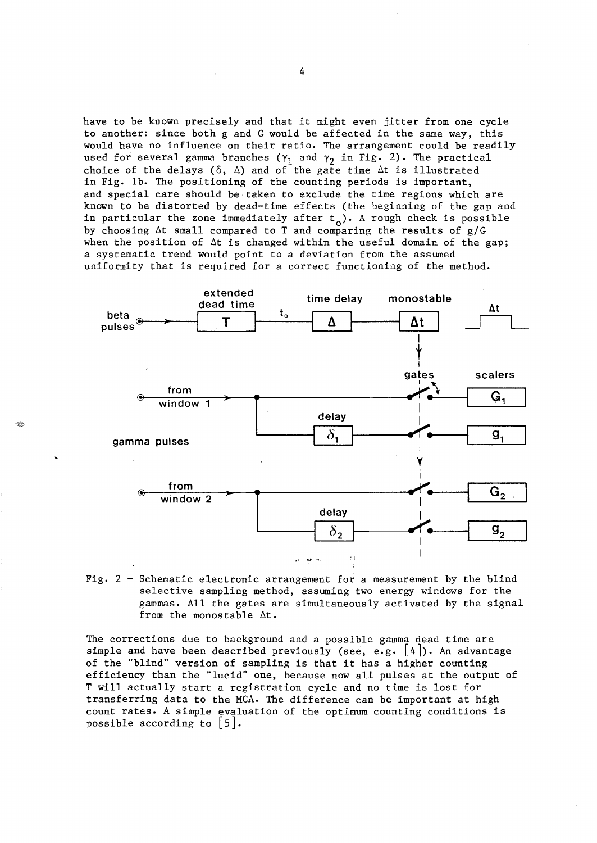have to be known precisely and that it might even jitter from one cycle to another: since both g and G would be affected in the same way, this would have no influence on their ratio. The arrangement could be readily used for several gamma branches ( $\gamma_1$  and  $\gamma_2$  in Fig. 2). The practical choice of the delays ( $\delta$ ,  $\Delta$ ) and of the gate time  $\Delta t$  is illustrated in Fig. lb. The positioning of the counting periods is important, and special care should be taken to exclude the time regions which are known to be distorted by dead-time effects (the beginning of the gap and in particular the zone immediately after  $t_o$ ). A rough check is possible by choosing  $\Delta t$  small compared to T and comparing the results of  $g/G$ when the position of  $\Delta t$  is changed within the useful domain of the gap; a systematic trend would point to a deviation from the assumed uniformity that is required for a correct functioning of the method.



Fig.  $2$  - Schematic electronic arrangement for a measurement by the blind selective sampling method, assuming two energy windows for the gammas. All the gates are simultaneously activated by the signal from the monostable  $\Delta t$ .

The corrections due to background and a possible gamma dead time are simple and have been described previously (see, e.g.  $\lfloor 4 \rfloor$ ). An advantage of the "blind" version of sampling is that it has a higher counting efficiency than the "lucid" one, because now all pulses at the output of T will actually start a registration cycle and no time is lost for transferring data to the MCA. The difference can be important at high count rates. A simple evaluation of the optimum counting conditions is possible according to  $|5|$ .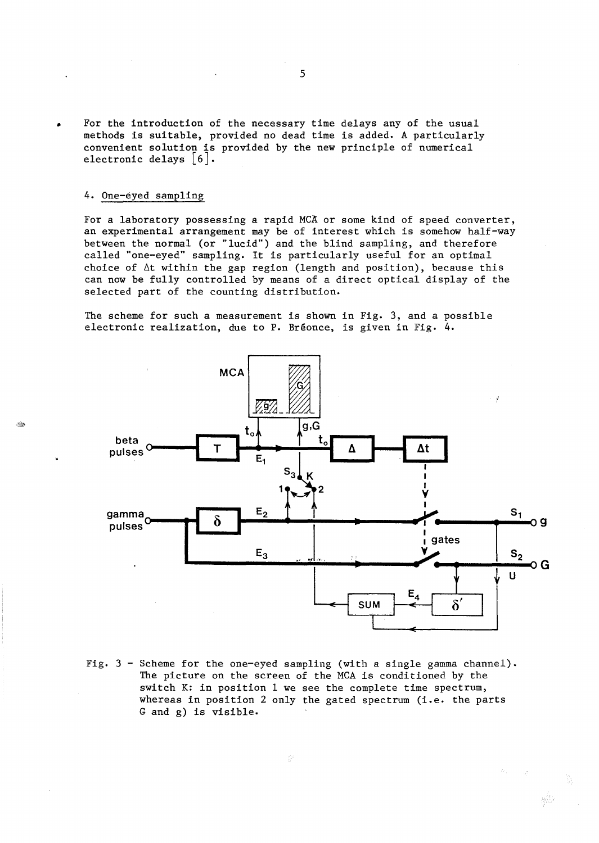• For the introduction of the necessary time delays any of the usual methods is suitable, provided no dead time is added. A particularly convenient solution is provided by the new principle of numerical electronic delays  $\lceil 6 \rceil$ .

### 4. One-eyed sampling

 $\lll$ 

For a laboratory possessing a rapid *MCA* or some kind of speed converter, an experimental arrangement may be of interest which is somehow half-way between the normal (or "lucid") and the blind sampling, and therefore called "one-eyed" sampling. It is particularly useful for an optimal choice of  $\Delta t$  within the gap region (length and position), because this can now be fully controlled by means of a direct optical display of the selected part of the counting distribution.

The scheme for such a measurement is shown in Fig. 3, and a possible electronic realization, due to P. Bréonce, is given in Fig. 4.



Fig.  $3$  - Scheme for the one-eyed sampling (with a single gamma channel). The picture on the screen of the MCA is conditioned by the switch K: in position 1 we see the complete time spectrum, whereas in position 2 only the gated spectrum (i.e. the parts G and g) is visible.

 $\frac{1}{2}$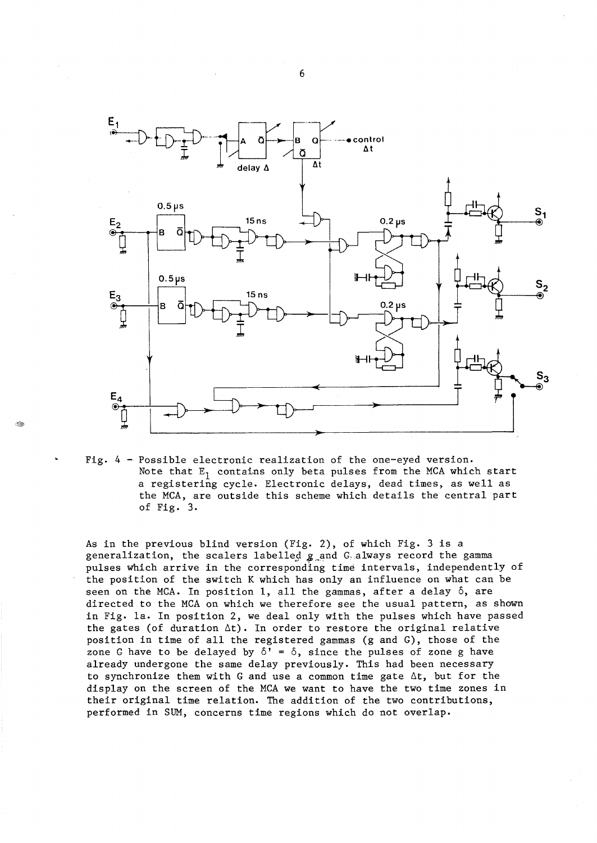

Fig. 4 - Possible electronic realization of the one-eyed version. Note that  $E_1$  contains only beta pulses from the MCA which start a registering cycle. Electronic delays, dead times, as well as the MCA, are outside this scheme which details the central part of Fig. 3.

As in the previous blind version (Fig. 2), of which Fig. 3 is a generalization, the scalers labelled  $g$  and G, always record the gamma pulses which arrive in the corresponding time intervals, independently of the position of the switch K which has only an influence on what can be seen on the MCA. In position 1, all the gammas, after a delay  $\delta$ , are directed to the MCA on which we therefore see the usual pattern, as shown in Fig. la. In position 2, we deal only with the pulses which have passed the gates (of duration  $\Delta t$ ). In order to restore the original relative position in time of all the registered gammas (g and G), those of the zone G have to be delayed by  $\delta' = \delta$ , since the pulses of zone g have already undergone the same delay previously. This had been necessary to synchronize them with G and use a common time gate  $\Delta t$ , but for the display on the screen of the MCA we want to have the two time zones in their original time relation. The addition of the two contributions, performed in SUM, concerns time regions which do not overlap.

6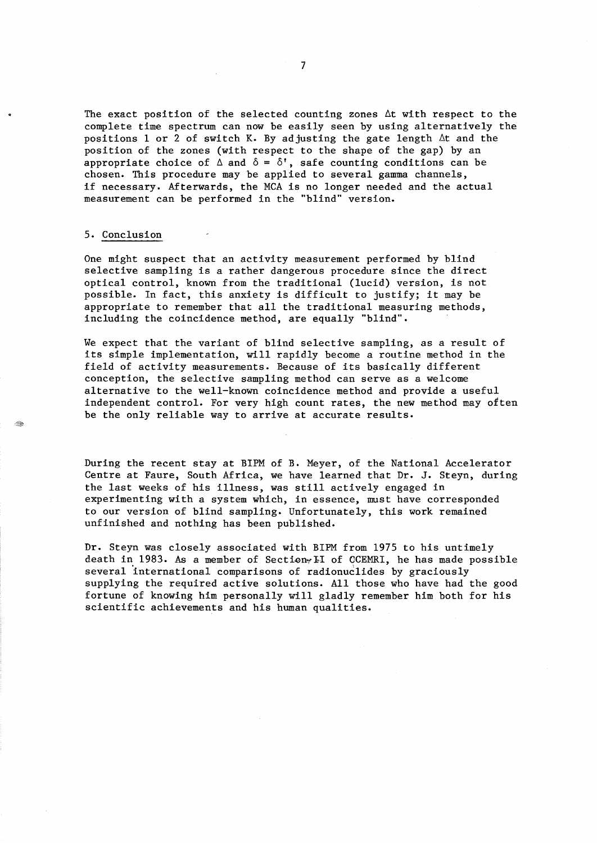The exact position of the selected counting zones  $\Delta t$  with respect to the complete time spectrum can now be easily seen by using alternatively the positions 1 or 2 of switch K. By adjusting the gate length  $\Delta t$  and the position of the zones (with respect to the shape of the gap) by an appropriate choice of  $\Delta$  and  $\delta = \delta'$ , safe counting conditions can be chosen. This procedure may be applied to several gamma channels, if necessary. Afterwards, the MCA is no longer needed and the actual measurement can be performed in the "blind" version.

#### 5. Conclusion

One might suspect that an activity measurement performed by blind selective sampling is a rather dangerous procedure since the direct optical control, known from the traditional (lucid) version, is not possible. In fact, this anxiety is difficult to justify; it may be appropriate to remember that all the traditional measuring methods, including the coincidence method, are equally "blind".

We expect that the variant of blind selective sampling, as a result of its simple implementation, will rapidly become a routine method in the field of activity measurements. Because of its basically different conception, the selective sampling method can serve as a welcome alternative to the well-known coincidence method and provide a useful independent control. For very high count rates, the new method may often be the only reliable way to arrive at accurate results.

During the recent stay at BIPM of B. Meyer, of the National Accelerator Centre at Faure, South Africa, we have learned that Dr. J. Steyn, during the last weeks of his illness, was still actively engaged in experimenting with a system which, in essence, must have corresponded to our version of blind sampling. Unfortunately, this work remained unfinished and nothing has been published.

Dr. Steyn was closely associated with BIPM from 1975 to his untimely death in 1983. As a member of Section<sub>"</sub> II of CCEMRI, he has made possible several 'international comparisons of radionuclides by graciously supplying the required active solutions. All those who have had the good fortune of knowing him personally will gladly remember him both for his scientific achievements and his human qualities.